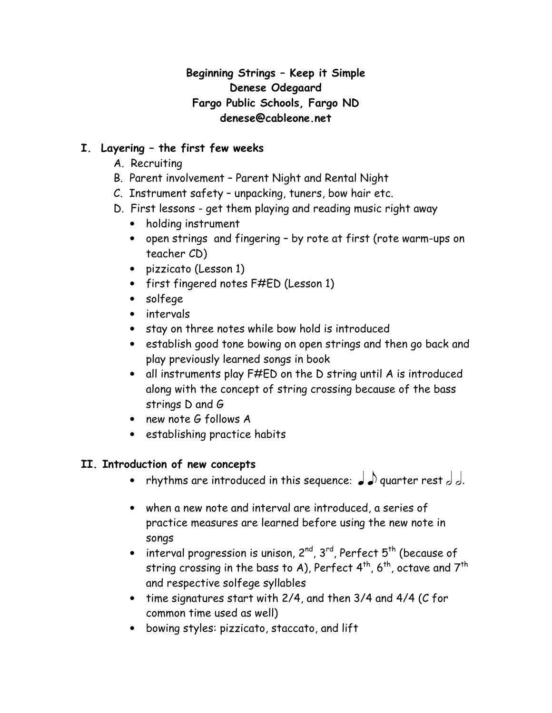## Beginning Strings – Keep it Simple Denese Odegaard Fargo Public Schools, Fargo ND denese@cableone.net

# I. Layering – the first few weeks

- A. Recruiting
- B. Parent involvement Parent Night and Rental Night
- C. Instrument safety unpacking, tuners, bow hair etc.
- D. First lessons get them playing and reading music right away
	- holding instrument
	- open strings and fingering by rote at first (rote warm-ups on teacher CD)
	- pizzicato (Lesson 1)
	- first fingered notes F#ED (Lesson 1)
	- solfege
	- intervals
	- stay on three notes while bow hold is introduced
	- establish good tone bowing on open strings and then go back and play previously learned songs in book
	- all instruments play F#ED on the D string until A is introduced along with the concept of string crossing because of the bass strings D and G
	- new note G follows A
	- establishing practice habits

## II. Introduction of new concepts

- rhythms are introduced in this sequence:  $\int$   $\int$  quarter rest  $\int$   $\int$ .
- when a new note and interval are introduced, a series of practice measures are learned before using the new note in songs
- interval progression is unison,  $2^{nd}$ ,  $3^{rd}$ , Perfect  $5^{th}$  (because of string crossing in the bass to A), Perfect  $4^{th}$ ,  $6^{th}$ , octave and  $7^{th}$ and respective solfege syllables
- time signatures start with 2/4, and then 3/4 and 4/4 (C for common time used as well)
- bowing styles: pizzicato, staccato, and lift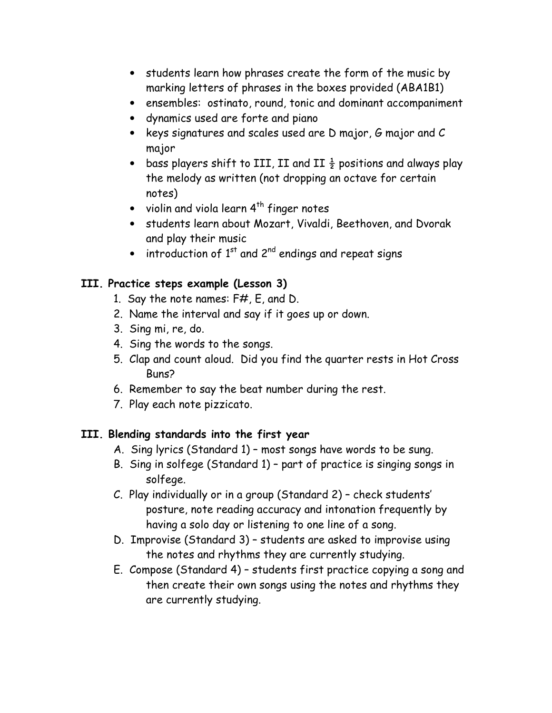- students learn how phrases create the form of the music by marking letters of phrases in the boxes provided (ABA1B1)
- ensembles: ostinato, round, tonic and dominant accompaniment
- dynamics used are forte and piano
- keys signatures and scales used are D major, G major and C major
- bass players shift to III, II and II  $\frac{1}{2}$  positions and always play the melody as written (not dropping an octave for certain notes)
- violin and viola learn  $4^{th}$  finger notes
- students learn about Mozart, Vivaldi, Beethoven, and Dvorak and play their music
- $\bullet$  introduction of 1<sup>st</sup> and 2<sup>nd</sup> endings and repeat signs

## III. Practice steps example (Lesson 3)

- 1. Say the note names: F#, E, and D.
- 2. Name the interval and say if it goes up or down.
- 3. Sing mi, re, do.
- 4. Sing the words to the songs.
- 5. Clap and count aloud. Did you find the quarter rests in Hot Cross Buns?
- 6. Remember to say the beat number during the rest.
- 7. Play each note pizzicato.

# III. Blending standards into the first year

- A. Sing lyrics (Standard 1) most songs have words to be sung.
- B. Sing in solfege (Standard 1) part of practice is singing songs in solfege.
- C. Play individually or in a group (Standard 2) check students' posture, note reading accuracy and intonation frequently by having a solo day or listening to one line of a song.
- D. Improvise (Standard 3) students are asked to improvise using the notes and rhythms they are currently studying.
- E. Compose (Standard 4) students first practice copying a song and then create their own songs using the notes and rhythms they are currently studying.